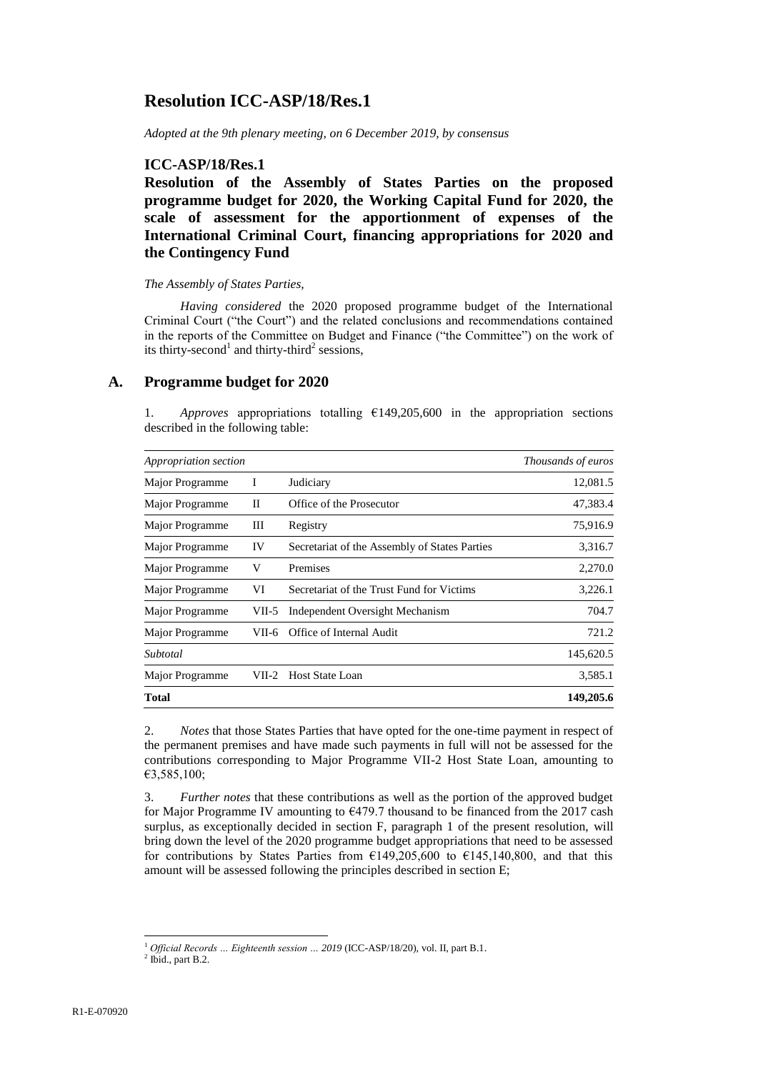# **Resolution ICC-ASP/18/Res.1**

*Adopted at the 9th plenary meeting, on 6 December 2019, by consensus*

## **ICC-ASP/18/Res.1**

**Resolution of the Assembly of States Parties on the proposed programme budget for 2020, the Working Capital Fund for 2020, the scale of assessment for the apportionment of expenses of the International Criminal Court, financing appropriations for 2020 and the Contingency Fund**

### *The Assembly of States Parties,*

*Having considered* the 2020 proposed programme budget of the International Criminal Court ("the Court") and the related conclusions and recommendations contained in the reports of the Committee on Budget and Finance ("the Committee") on the work of its thirty-second<sup>1</sup> and thirty-third<sup>2</sup> sessions,

## **A. Programme budget for 2020**

1. *Approves* appropriations totalling €149,205,600 in the appropriation sections described in the following table:

| Appropriation section | Thousands of euros |                                               |           |
|-----------------------|--------------------|-----------------------------------------------|-----------|
| Major Programme       |                    | Judiciary                                     | 12,081.5  |
| Major Programme       | П                  | Office of the Prosecutor                      | 47,383.4  |
| Major Programme       | Ш                  | Registry                                      | 75,916.9  |
| Major Programme       | IV                 | Secretariat of the Assembly of States Parties | 3,316.7   |
| Major Programme       | V                  | Premises                                      | 2,270.0   |
| Major Programme       | VI                 | Secretariat of the Trust Fund for Victims     | 3,226.1   |
| Major Programme       | VII-5              | Independent Oversight Mechanism               | 704.7     |
| Major Programme       | VII-6              | Office of Internal Audit                      | 721.2     |
| Subtotal              |                    |                                               | 145,620.5 |
| Major Programme       | VII-2              | Host State Loan                               | 3,585.1   |
| <b>Total</b>          |                    |                                               | 149,205.6 |

2. *Notes* that those States Parties that have opted for the one-time payment in respect of the permanent premises and have made such payments in full will not be assessed for the contributions corresponding to Major Programme VII-2 Host State Loan, amounting to €3,585,100;

3. *Further notes* that these contributions as well as the portion of the approved budget for Major Programme IV amounting to  $\epsilon$ 479.7 thousand to be financed from the 2017 cash surplus, as exceptionally decided in section F, paragraph 1 of the present resolution, will bring down the level of the 2020 programme budget appropriations that need to be assessed for contributions by States Parties from  $£149,205,600$  to  $£145,140,800$ , and that this amount will be assessed following the principles described in section E;

 $\overline{a}$ <sup>1</sup> *Official Records … Eighteenth session … 2019* (ICC-ASP/18/20), vol. II, part B.1.

 $<sup>2</sup>$  Ibid., part B.2.</sup>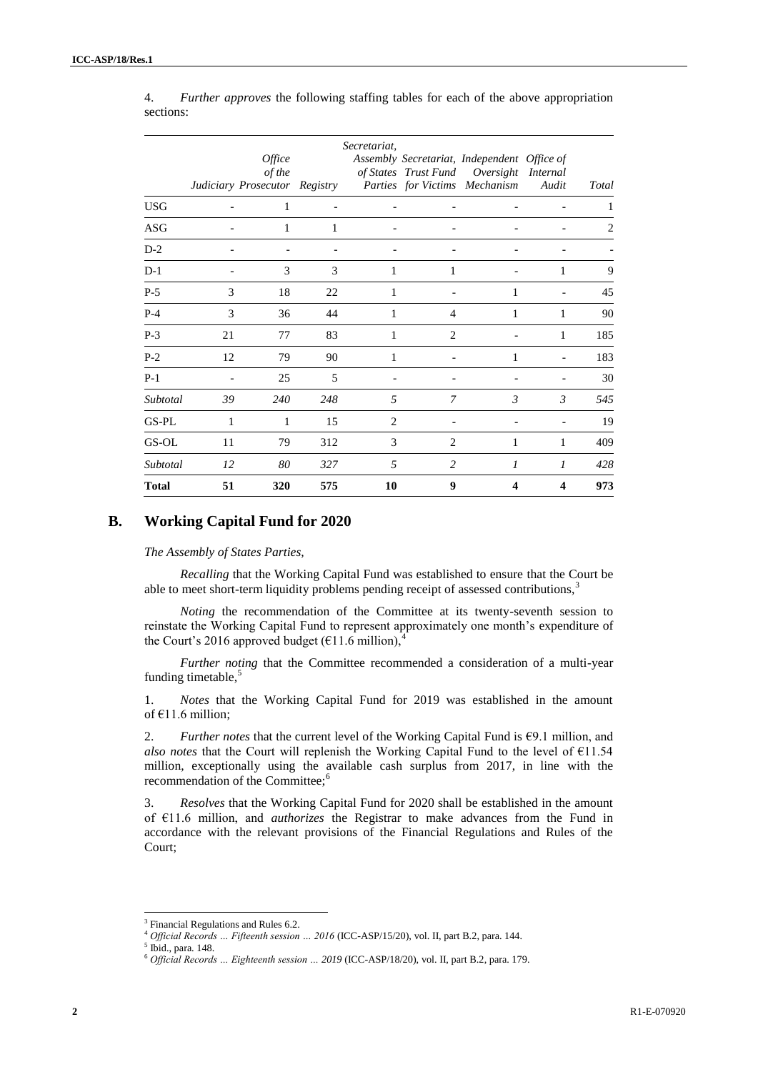|              |    | Office<br>of the<br>Judiciary Prosecutor Registry |     | Secretariat,   |                | Assembly Secretariat, Independent Office of<br>of States Trust Fund Oversight Internal<br>Parties for Victims Mechanism | Audit         | <b>Total</b> |
|--------------|----|---------------------------------------------------|-----|----------------|----------------|-------------------------------------------------------------------------------------------------------------------------|---------------|--------------|
| <b>USG</b>   |    | 1                                                 |     |                |                |                                                                                                                         |               |              |
| ASG          |    | 1                                                 | 1   |                |                |                                                                                                                         |               | 2            |
| $D-2$        |    |                                                   |     |                |                |                                                                                                                         |               |              |
| $D-1$        |    | 3                                                 | 3   | 1              | 1              |                                                                                                                         | 1             | 9            |
| $P-5$        | 3  | 18                                                | 22  | 1              |                | 1                                                                                                                       |               | 45           |
| $P-4$        | 3  | 36                                                | 44  | 1              | $\overline{4}$ | 1                                                                                                                       | 1             | 90           |
| $P-3$        | 21 | 77                                                | 83  | 1              | 2              |                                                                                                                         | 1             | 185          |
| $P-2$        | 12 | 79                                                | 90  | 1              |                | 1                                                                                                                       |               | 183          |
| $P-1$        |    | 25                                                | 5   |                |                |                                                                                                                         |               | 30           |
| Subtotal     | 39 | 240                                               | 248 | 5              | 7              | $\mathcal{E}$                                                                                                           | $\mathcal{E}$ | 545          |
| GS-PL        | 1  | 1                                                 | 15  | $\overline{2}$ |                |                                                                                                                         |               | 19           |
| GS-OL        | 11 | 79                                                | 312 | 3              | 2              | 1                                                                                                                       | 1             | 409          |
| Subtotal     | 12 | 80                                                | 327 | 5              | 2              | 1                                                                                                                       | 1             | 428          |
| <b>Total</b> | 51 | 320                                               | 575 | 10             | 9              | 4                                                                                                                       | 4             | 973          |

4. *Further approves* the following staffing tables for each of the above appropriation sections:

## **B. Working Capital Fund for 2020**

#### *The Assembly of States Parties,*

*Recalling* that the Working Capital Fund was established to ensure that the Court be able to meet short-term liquidity problems pending receipt of assessed contributions,<sup>3</sup>

*Noting* the recommendation of the Committee at its twenty-seventh session to reinstate the Working Capital Fund to represent approximately one month's expenditure of the Court's 2016 approved budget ( $E11.6$  million),

*Further noting* that the Committee recommended a consideration of a multi-year funding timetable,<sup>5</sup>

1. *Notes* that the Working Capital Fund for 2019 was established in the amount of €11.6 million;

2. *Further notes that the current level of the Working Capital Fund is*  $69.1$  million, and *also notes* that the Court will replenish the Working Capital Fund to the level of €11.54 million, exceptionally using the available cash surplus from 2017, in line with the recommendation of the Committee;<sup>6</sup>

3. *Resolves* that the Working Capital Fund for 2020 shall be established in the amount of €11.6 million, and *authorizes* the Registrar to make advances from the Fund in accordance with the relevant provisions of the Financial Regulations and Rules of the Court;

<sup>&</sup>lt;sup>3</sup> Financial Regulations and Rules 6.2.

<sup>4</sup> *Official Records … Fifteenth session … 2016* (ICC-ASP/15/20), vol. II, part B.2, para. 144.

<sup>5</sup> Ibid., para. 148.

<sup>6</sup> *Official Records … Eighteenth session … 2019* (ICC-ASP/18/20), vol. II, part B.2, para. 179.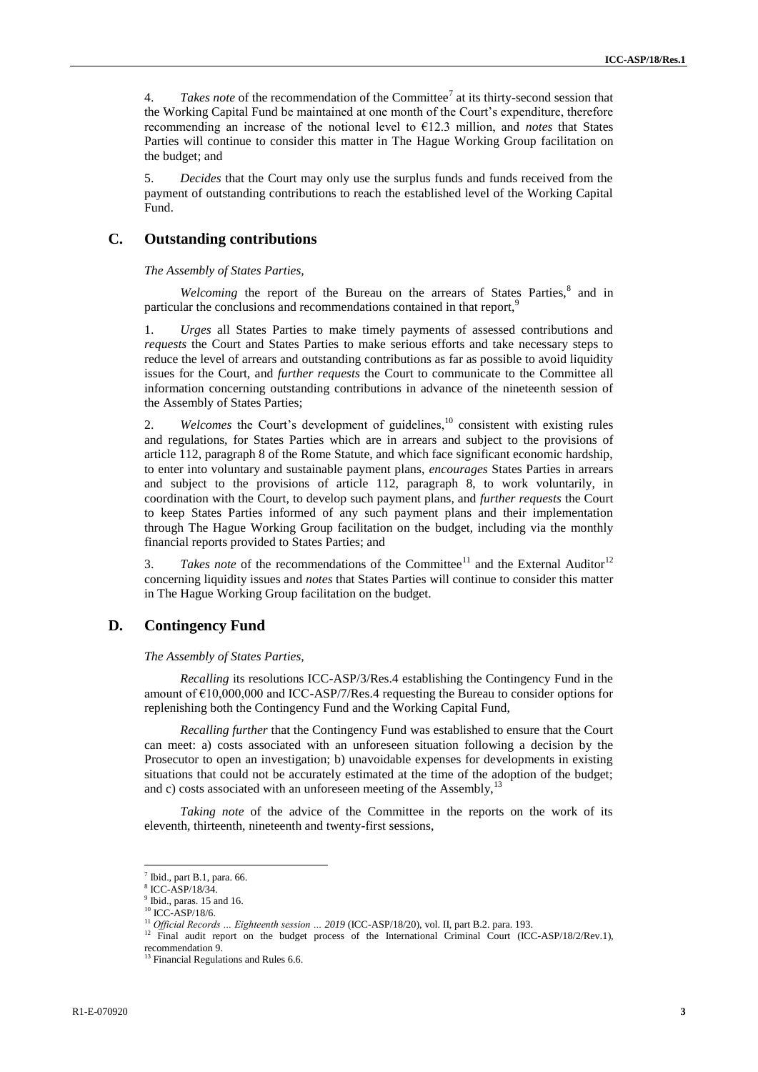4. *Takes note* of the recommendation of the Committee<sup>7</sup> at its thirty-second session that the Working Capital Fund be maintained at one month of the Court's expenditure, therefore recommending an increase of the notional level to €12.3 million, and *notes* that States Parties will continue to consider this matter in The Hague Working Group facilitation on the budget; and

5. *Decides* that the Court may only use the surplus funds and funds received from the payment of outstanding contributions to reach the established level of the Working Capital Fund.

### **C. Outstanding contributions**

*The Assembly of States Parties,*

Welcoming the report of the Bureau on the arrears of States Parties,<sup>8</sup> and in particular the conclusions and recommendations contained in that report,

1. *Urges* all States Parties to make timely payments of assessed contributions and *requests* the Court and States Parties to make serious efforts and take necessary steps to reduce the level of arrears and outstanding contributions as far as possible to avoid liquidity issues for the Court, and *further requests* the Court to communicate to the Committee all information concerning outstanding contributions in advance of the nineteenth session of the Assembly of States Parties;

2. *Welcomes* the Court's development of guidelines,<sup>10</sup> consistent with existing rules and regulations, for States Parties which are in arrears and subject to the provisions of article 112, paragraph 8 of the Rome Statute, and which face significant economic hardship, to enter into voluntary and sustainable payment plans, *encourages* States Parties in arrears and subject to the provisions of article 112, paragraph 8, to work voluntarily, in coordination with the Court, to develop such payment plans, and *further requests* the Court to keep States Parties informed of any such payment plans and their implementation through The Hague Working Group facilitation on the budget, including via the monthly financial reports provided to States Parties; and

3. *Takes note* of the recommendations of the Committee<sup>11</sup> and the External Auditor<sup>12</sup> concerning liquidity issues and *notes* that States Parties will continue to consider this matter in The Hague Working Group facilitation on the budget.

## **D. Contingency Fund**

*The Assembly of States Parties,*

*Recalling* its resolutions ICC-ASP/3/Res.4 establishing the Contingency Fund in the amount of  $\epsilon$ 10,000,000 and ICC-ASP/7/Res.4 requesting the Bureau to consider options for replenishing both the Contingency Fund and the Working Capital Fund,

*Recalling further* that the Contingency Fund was established to ensure that the Court can meet: a) costs associated with an unforeseen situation following a decision by the Prosecutor to open an investigation; b) unavoidable expenses for developments in existing situations that could not be accurately estimated at the time of the adoption of the budget; and c) costs associated with an unforeseen meeting of the Assembly, $13$ 

*Taking note* of the advice of the Committee in the reports on the work of its eleventh, thirteenth, nineteenth and twenty-first sessions,

 7 Ibid., part B.1, para. 66.

<sup>8</sup> ICC-ASP/18/34.

<sup>&</sup>lt;sup>9</sup> Ibid., paras. 15 and 16.

<sup>10</sup> ICC-ASP/18/6.

<sup>&</sup>lt;sup>11</sup> Official Records ... Eighteenth session ... 2019 (ICC-ASP/18/20), vol. II, part B.2. para. 193.

<sup>&</sup>lt;sup>12</sup> Final audit report on the budget process of the International Criminal Court (ICC-ASP/18/2/Rev.1), recommendation 9.

<sup>&</sup>lt;sup>13</sup> Financial Regulations and Rules 6.6.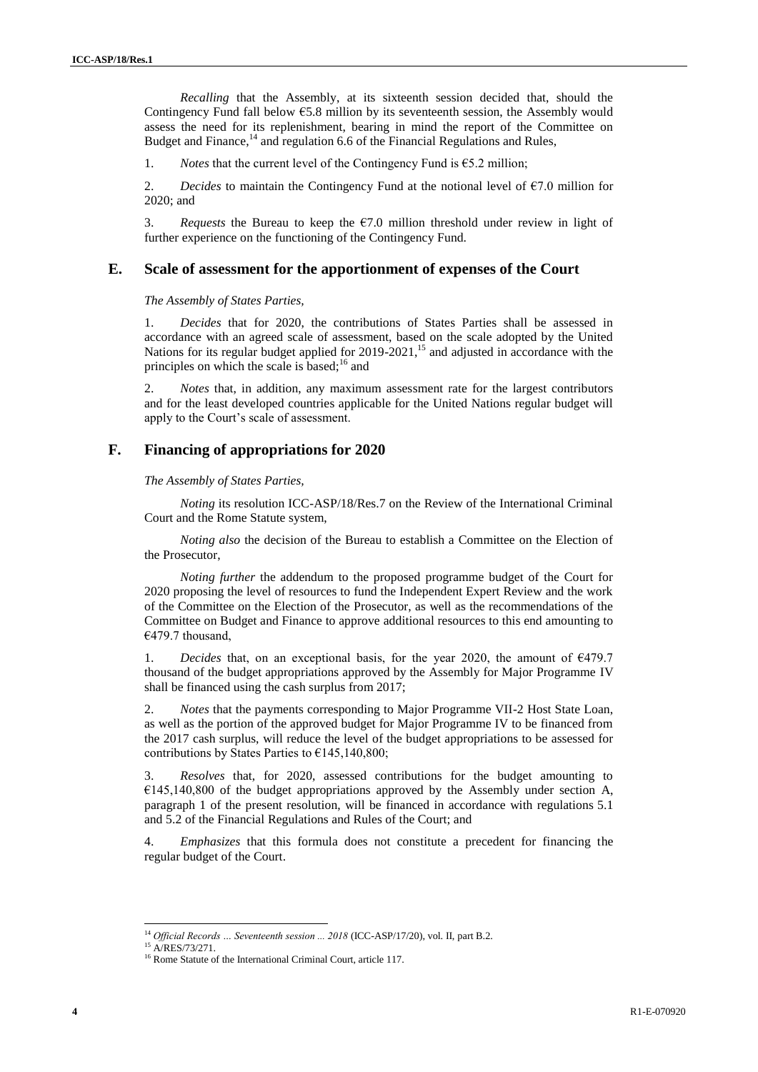*Recalling* that the Assembly, at its sixteenth session decided that, should the Contingency Fund fall below  $65.8$  million by its seventeenth session, the Assembly would assess the need for its replenishment, bearing in mind the report of the Committee on Budget and Finance,<sup>14</sup> and regulation 6.6 of the Financial Regulations and Rules,

1. *Notes* that the current level of the Contingency Fund is  $\epsilon$ 5.2 million;

2. *Decides* to maintain the Contingency Fund at the notional level of  $\epsilon$ 7.0 million for 2020; and

3. *Requests* the Bureau to keep the  $\epsilon$ 7.0 million threshold under review in light of further experience on the functioning of the Contingency Fund.

#### **E. Scale of assessment for the apportionment of expenses of the Court**

*The Assembly of States Parties,*

1. *Decides* that for 2020, the contributions of States Parties shall be assessed in accordance with an agreed scale of assessment, based on the scale adopted by the United Nations for its regular budget applied for 2019-2021,<sup>15</sup> and adjusted in accordance with the principles on which the scale is based;<sup>16</sup> and

2. *Notes* that, in addition, any maximum assessment rate for the largest contributors and for the least developed countries applicable for the United Nations regular budget will apply to the Court's scale of assessment.

#### **F. Financing of appropriations for 2020**

*The Assembly of States Parties,*

*Noting* its resolution ICC-ASP/18/Res.7 on the Review of the International Criminal Court and the Rome Statute system,

*Noting also* the decision of the Bureau to establish a Committee on the Election of the Prosecutor,

*Noting further* the addendum to the proposed programme budget of the Court for 2020 proposing the level of resources to fund the Independent Expert Review and the work of the Committee on the Election of the Prosecutor, as well as the recommendations of the Committee on Budget and Finance to approve additional resources to this end amounting to €479.7 thousand,

1. *Decides* that, on an exceptional basis, for the year 2020, the amount of €479.7 thousand of the budget appropriations approved by the Assembly for Major Programme IV shall be financed using the cash surplus from 2017;

2. *Notes* that the payments corresponding to Major Programme VII-2 Host State Loan, as well as the portion of the approved budget for Major Programme IV to be financed from the 2017 cash surplus, will reduce the level of the budget appropriations to be assessed for contributions by States Parties to  $\epsilon$ 145,140,800;

3. *Resolves* that, for 2020, assessed contributions for the budget amounting to  $€145,140,800$  of the budget appropriations approved by the Assembly under section A, paragraph 1 of the present resolution, will be financed in accordance with regulations 5.1 and 5.2 of the Financial Regulations and Rules of the Court; and

4. *Emphasizes* that this formula does not constitute a precedent for financing the regular budget of the Court.

<sup>&</sup>lt;sup>14</sup> *Official Records ... Seventeenth session ... 2018* (ICC-ASP/17/20), vol. II, part B.2.

<sup>&</sup>lt;sup>15</sup> A/RES/73/271.

<sup>&</sup>lt;sup>16</sup> Rome Statute of the International Criminal Court, article 117.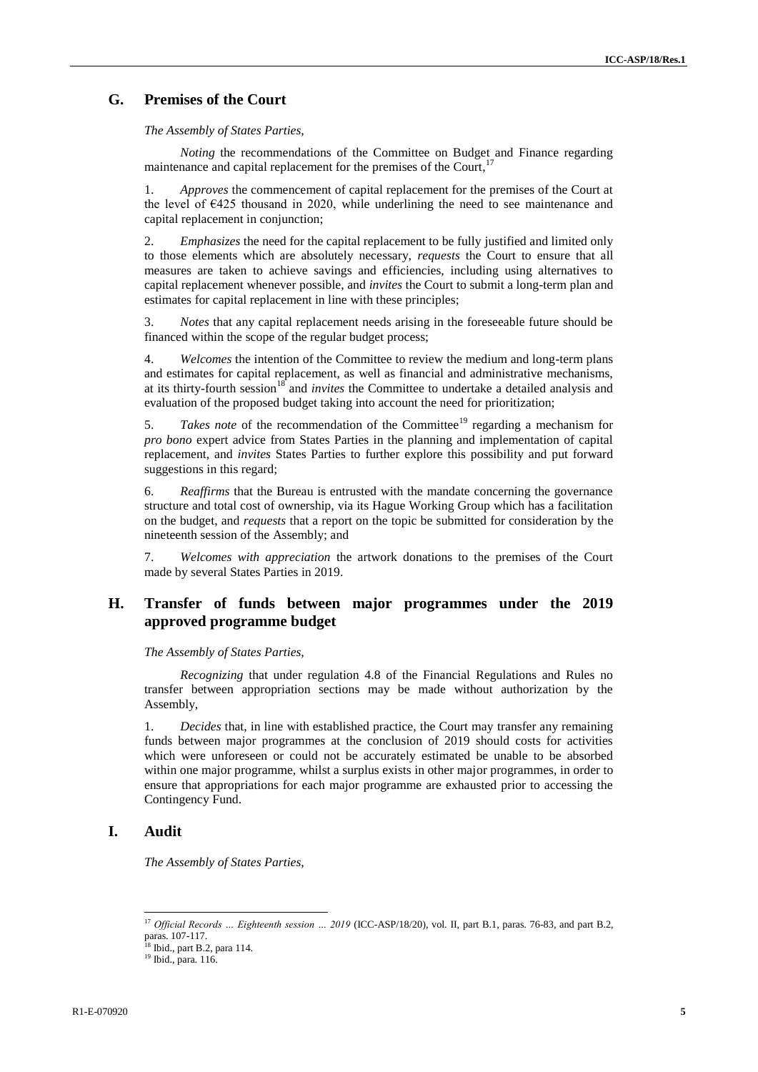## **G. Premises of the Court**

*The Assembly of States Parties,*

*Noting* the recommendations of the Committee on Budget and Finance regarding maintenance and capital replacement for the premises of the Court,<sup>17</sup>

1. *Approves* the commencement of capital replacement for the premises of the Court at the level of  $\epsilon$ 425 thousand in 2020, while underlining the need to see maintenance and capital replacement in conjunction;

2. *Emphasizes* the need for the capital replacement to be fully justified and limited only to those elements which are absolutely necessary, *requests* the Court to ensure that all measures are taken to achieve savings and efficiencies, including using alternatives to capital replacement whenever possible, and *invites* the Court to submit a long-term plan and estimates for capital replacement in line with these principles;

3. *Notes* that any capital replacement needs arising in the foreseeable future should be financed within the scope of the regular budget process;

4. *Welcomes* the intention of the Committee to review the medium and long-term plans and estimates for capital replacement, as well as financial and administrative mechanisms, at its thirty-fourth session<sup>18</sup> and *invites* the Committee to undertake a detailed analysis and evaluation of the proposed budget taking into account the need for prioritization;

5. *Takes note* of the recommendation of the Committee<sup>19</sup> regarding a mechanism for *pro bono* expert advice from States Parties in the planning and implementation of capital replacement, and *invites* States Parties to further explore this possibility and put forward suggestions in this regard;

6. *Reaffirms* that the Bureau is entrusted with the mandate concerning the governance structure and total cost of ownership, via its Hague Working Group which has a facilitation on the budget, and *requests* that a report on the topic be submitted for consideration by the nineteenth session of the Assembly; and

7. *Welcomes with appreciation* the artwork donations to the premises of the Court made by several States Parties in 2019.

## **H. Transfer of funds between major programmes under the 2019 approved programme budget**

#### *The Assembly of States Parties,*

*Recognizing* that under regulation 4.8 of the Financial Regulations and Rules no transfer between appropriation sections may be made without authorization by the Assembly,

1. *Decides* that, in line with established practice, the Court may transfer any remaining funds between major programmes at the conclusion of 2019 should costs for activities which were unforeseen or could not be accurately estimated be unable to be absorbed within one major programme, whilst a surplus exists in other major programmes, in order to ensure that appropriations for each major programme are exhausted prior to accessing the Contingency Fund.

## **I. Audit**

l

*The Assembly of States Parties,*

<sup>&</sup>lt;sup>17</sup> Official Records ... Eighteenth session ... 2019 (ICC-ASP/18/20), vol. II, part B.1, paras. 76-83, and part B.2, paras. 107-117.

<sup>&</sup>lt;sup>18</sup> Ibid., part B.2, para 114.

<sup>19</sup> Ibid., para. 116.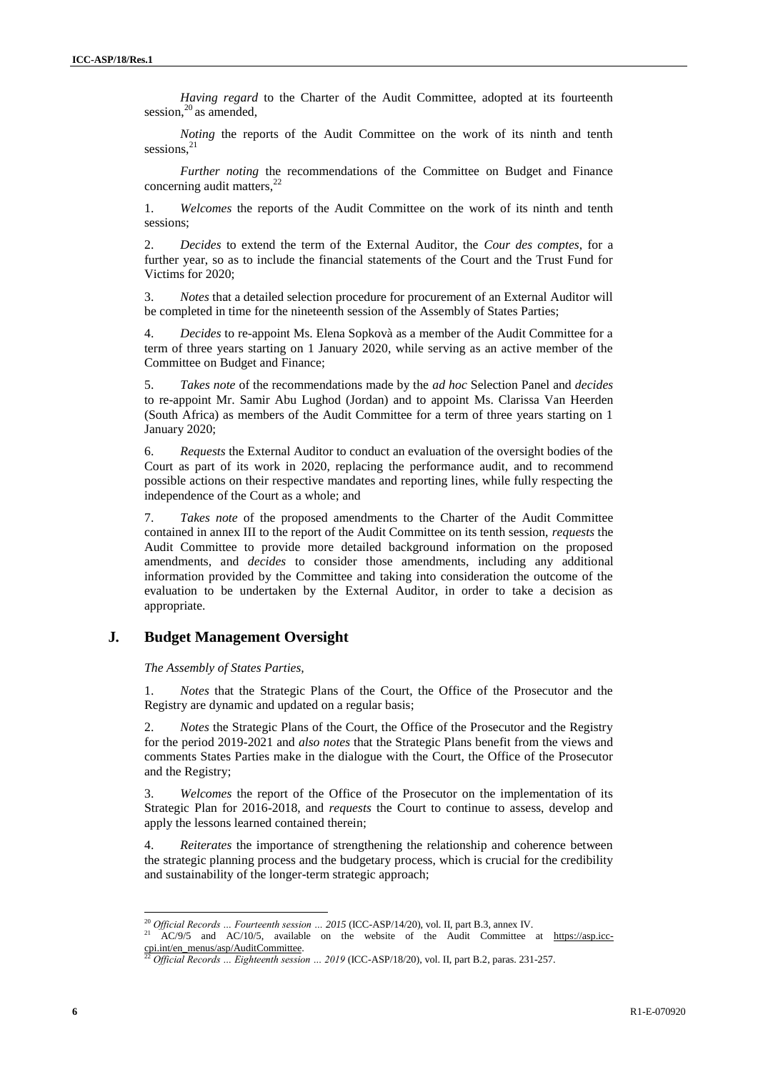*Having regard* to the Charter of the Audit Committee, adopted at its fourteenth session, $^{20}$  as amended,

*Noting* the reports of the Audit Committee on the work of its ninth and tenth sessions, $^{21}$ 

*Further noting* the recommendations of the Committee on Budget and Finance concerning audit matters, $<sup>2</sup>$ </sup>

1. *Welcomes* the reports of the Audit Committee on the work of its ninth and tenth sessions;

2. *Decides* to extend the term of the External Auditor, the *Cour des comptes*, for a further year, so as to include the financial statements of the Court and the Trust Fund for Victims for 2020;

3. *Notes* that a detailed selection procedure for procurement of an External Auditor will be completed in time for the nineteenth session of the Assembly of States Parties;

4. *Decides* to re-appoint Ms. Elena Sopkovà as a member of the Audit Committee for a term of three years starting on 1 January 2020, while serving as an active member of the Committee on Budget and Finance;

5. *Takes note* of the recommendations made by the *ad hoc* Selection Panel and *decides* to re-appoint Mr. Samir Abu Lughod (Jordan) and to appoint Ms. Clarissa Van Heerden (South Africa) as members of the Audit Committee for a term of three years starting on 1 January 2020;

6. *Requests* the External Auditor to conduct an evaluation of the oversight bodies of the Court as part of its work in 2020, replacing the performance audit, and to recommend possible actions on their respective mandates and reporting lines, while fully respecting the independence of the Court as a whole; and

7. *Takes note* of the proposed amendments to the Charter of the Audit Committee contained in annex III to the report of the Audit Committee on its tenth session, *requests* the Audit Committee to provide more detailed background information on the proposed amendments, and *decides* to consider those amendments, including any additional information provided by the Committee and taking into consideration the outcome of the evaluation to be undertaken by the External Auditor, in order to take a decision as appropriate.

## **J***.* **Budget Management Oversight**

*The Assembly of States Parties,*

1. *Notes* that the Strategic Plans of the Court, the Office of the Prosecutor and the Registry are dynamic and updated on a regular basis;

2. *Notes* the Strategic Plans of the Court, the Office of the Prosecutor and the Registry for the period 2019-2021 and *also notes* that the Strategic Plans benefit from the views and comments States Parties make in the dialogue with the Court, the Office of the Prosecutor and the Registry;

3. *Welcomes* the report of the Office of the Prosecutor on the implementation of its Strategic Plan for 2016-2018, and *requests* the Court to continue to assess, develop and apply the lessons learned contained therein;

4. *Reiterates* the importance of strengthening the relationship and coherence between the strategic planning process and the budgetary process, which is crucial for the credibility and sustainability of the longer-term strategic approach;

<sup>&</sup>lt;sup>20</sup> *Official Records … Fourteenth session … 2015* (ICC-ASP/14/20), vol. II, part B.3, annex IV.<br><sup>21</sup> AC/0/5 and AC/10/5 smilitate and the multiple of the Artific Generity.

AC/9/5 and AC/10/5, available on the website of the Audit Committee at [https://asp.icc](https://asp.icc-cpi.int/en_menus/asp/AuditCommittee)[cpi.int/en\\_menus/asp/AuditCommittee.](https://asp.icc-cpi.int/en_menus/asp/AuditCommittee)

<sup>22</sup> *Official Records … Eighteenth session … 2019* (ICC-ASP/18/20), vol. II, part B.2, paras. 231-257.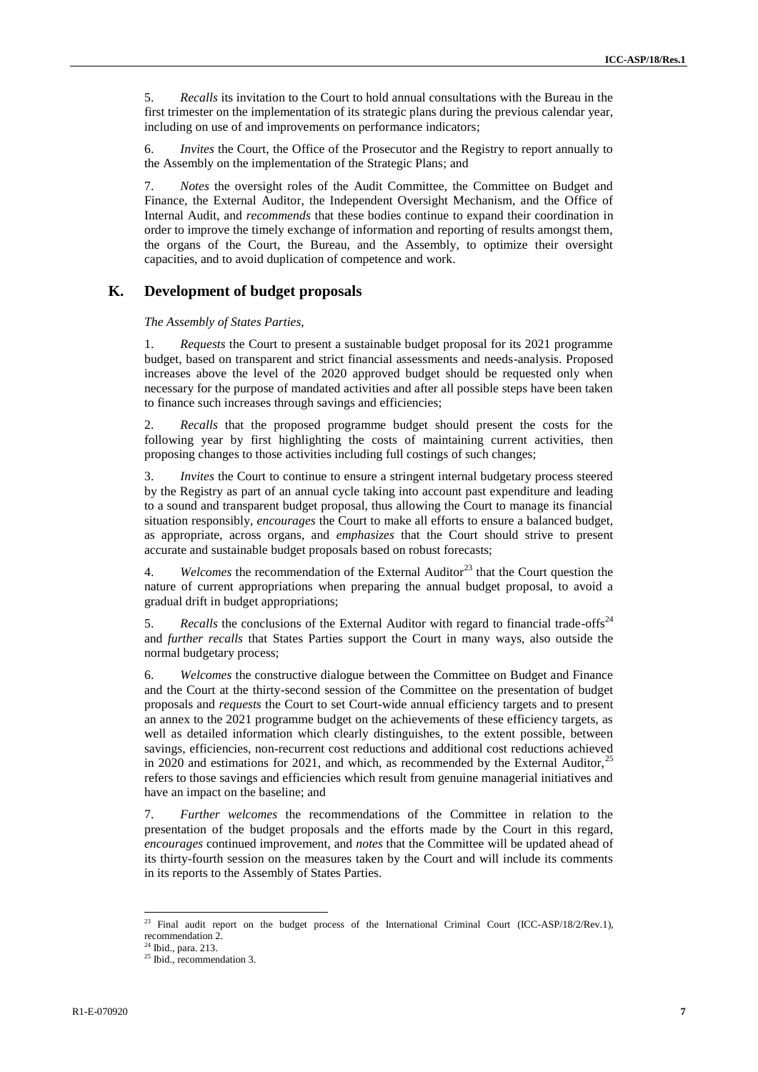5. *Recalls* its invitation to the Court to hold annual consultations with the Bureau in the first trimester on the implementation of its strategic plans during the previous calendar year, including on use of and improvements on performance indicators;

6. *Invites* the Court, the Office of the Prosecutor and the Registry to report annually to the Assembly on the implementation of the Strategic Plans; and

7. *Notes* the oversight roles of the Audit Committee, the Committee on Budget and Finance, the External Auditor, the Independent Oversight Mechanism, and the Office of Internal Audit, and *recommends* that these bodies continue to expand their coordination in order to improve the timely exchange of information and reporting of results amongst them, the organs of the Court, the Bureau, and the Assembly, to optimize their oversight capacities, and to avoid duplication of competence and work.

## **K. Development of budget proposals**

*The Assembly of States Parties,*

1. *Requests* the Court to present a sustainable budget proposal for its 2021 programme budget, based on transparent and strict financial assessments and needs-analysis. Proposed increases above the level of the 2020 approved budget should be requested only when necessary for the purpose of mandated activities and after all possible steps have been taken to finance such increases through savings and efficiencies;

2. *Recalls* that the proposed programme budget should present the costs for the following year by first highlighting the costs of maintaining current activities, then proposing changes to those activities including full costings of such changes;

3. *Invites* the Court to continue to ensure a stringent internal budgetary process steered by the Registry as part of an annual cycle taking into account past expenditure and leading to a sound and transparent budget proposal, thus allowing the Court to manage its financial situation responsibly, *encourages* the Court to make all efforts to ensure a balanced budget, as appropriate, across organs, and *emphasizes* that the Court should strive to present accurate and sustainable budget proposals based on robust forecasts;

4. *Welcomes* the recommendation of the External Auditor<sup>23</sup> that the Court question the nature of current appropriations when preparing the annual budget proposal, to avoid a gradual drift in budget appropriations;

5. *Recalls* the conclusions of the External Auditor with regard to financial trade-offs<sup>24</sup> and *further recalls* that States Parties support the Court in many ways, also outside the normal budgetary process;

6. *Welcomes* the constructive dialogue between the Committee on Budget and Finance and the Court at the thirty-second session of the Committee on the presentation of budget proposals and *requests* the Court to set Court-wide annual efficiency targets and to present an annex to the 2021 programme budget on the achievements of these efficiency targets, as well as detailed information which clearly distinguishes, to the extent possible, between savings, efficiencies, non-recurrent cost reductions and additional cost reductions achieved in 2020 and estimations for 2021, and which, as recommended by the External Auditor, $25$ refers to those savings and efficiencies which result from genuine managerial initiatives and have an impact on the baseline; and

7. *Further welcomes* the recommendations of the Committee in relation to the presentation of the budget proposals and the efforts made by the Court in this regard, *encourages* continued improvement, and *notes* that the Committee will be updated ahead of its thirty-fourth session on the measures taken by the Court and will include its comments in its reports to the Assembly of States Parties.

<sup>&</sup>lt;sup>23</sup> Final audit report on the budget process of the International Criminal Court (ICC-ASP/18/2/Rev.1), recommendation 2.

<sup>24</sup> Ibid., para. 213.

 $25$  Ibid., recommendation 3.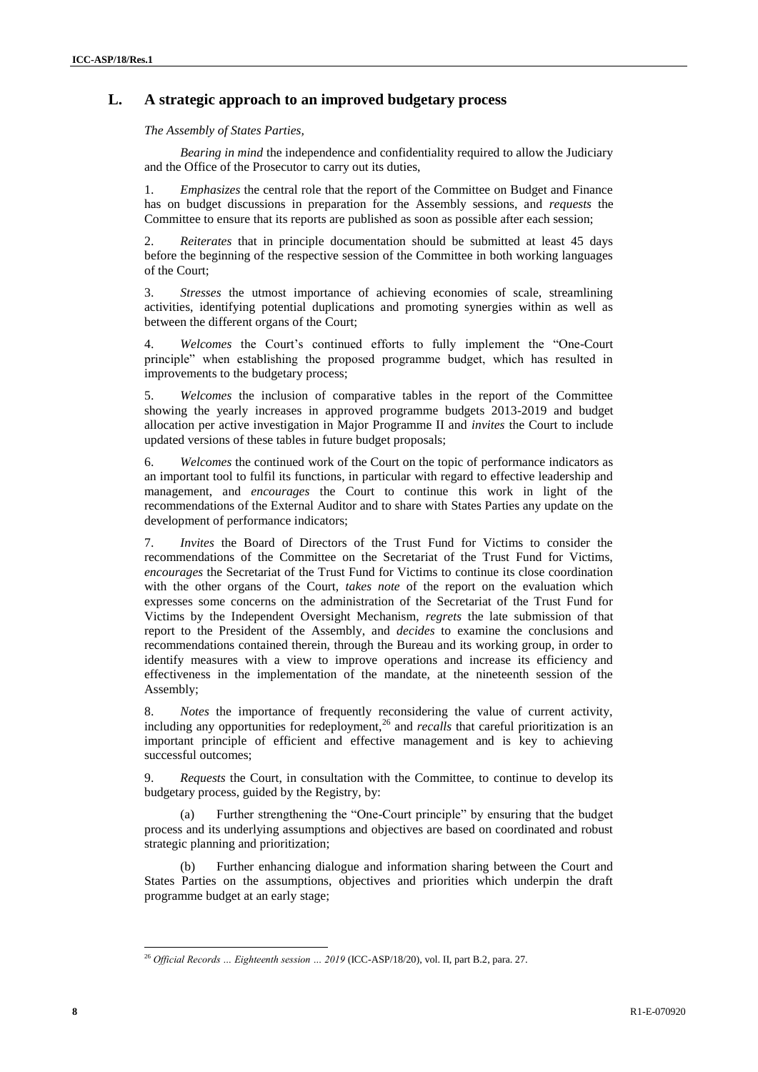## **L. A strategic approach to an improved budgetary process**

*The Assembly of States Parties,*

*Bearing in mind* the independence and confidentiality required to allow the Judiciary and the Office of the Prosecutor to carry out its duties,

*Emphasizes* the central role that the report of the Committee on Budget and Finance has on budget discussions in preparation for the Assembly sessions, and *requests* the Committee to ensure that its reports are published as soon as possible after each session;

2. *Reiterates* that in principle documentation should be submitted at least 45 days before the beginning of the respective session of the Committee in both working languages of the Court;

3. *Stresses* the utmost importance of achieving economies of scale, streamlining activities, identifying potential duplications and promoting synergies within as well as between the different organs of the Court;

4. *Welcomes* the Court's continued efforts to fully implement the "One-Court principle" when establishing the proposed programme budget, which has resulted in improvements to the budgetary process;

5. *Welcomes* the inclusion of comparative tables in the report of the Committee showing the yearly increases in approved programme budgets 2013-2019 and budget allocation per active investigation in Major Programme II and *invites* the Court to include updated versions of these tables in future budget proposals;

6. *Welcomes* the continued work of the Court on the topic of performance indicators as an important tool to fulfil its functions, in particular with regard to effective leadership and management, and *encourages* the Court to continue this work in light of the recommendations of the External Auditor and to share with States Parties any update on the development of performance indicators;

7. *Invites* the Board of Directors of the Trust Fund for Victims to consider the recommendations of the Committee on the Secretariat of the Trust Fund for Victims, *encourages* the Secretariat of the Trust Fund for Victims to continue its close coordination with the other organs of the Court, *takes note* of the report on the evaluation which expresses some concerns on the administration of the Secretariat of the Trust Fund for Victims by the Independent Oversight Mechanism, *regrets* the late submission of that report to the President of the Assembly, and *decides* to examine the conclusions and recommendations contained therein, through the Bureau and its working group, in order to identify measures with a view to improve operations and increase its efficiency and effectiveness in the implementation of the mandate, at the nineteenth session of the Assembly;

8. *Notes* the importance of frequently reconsidering the value of current activity, including any opportunities for redeployment,<sup>26</sup> and *recalls* that careful prioritization is an important principle of efficient and effective management and is key to achieving successful outcomes;

9. *Requests* the Court, in consultation with the Committee, to continue to develop its budgetary process, guided by the Registry, by:

(a) Further strengthening the "One-Court principle" by ensuring that the budget process and its underlying assumptions and objectives are based on coordinated and robust strategic planning and prioritization;

(b) Further enhancing dialogue and information sharing between the Court and States Parties on the assumptions, objectives and priorities which underpin the draft programme budget at an early stage;

l <sup>26</sup> *Official Records … Eighteenth session … 2019* (ICC-ASP/18/20), vol. II, part B.2, para. 27.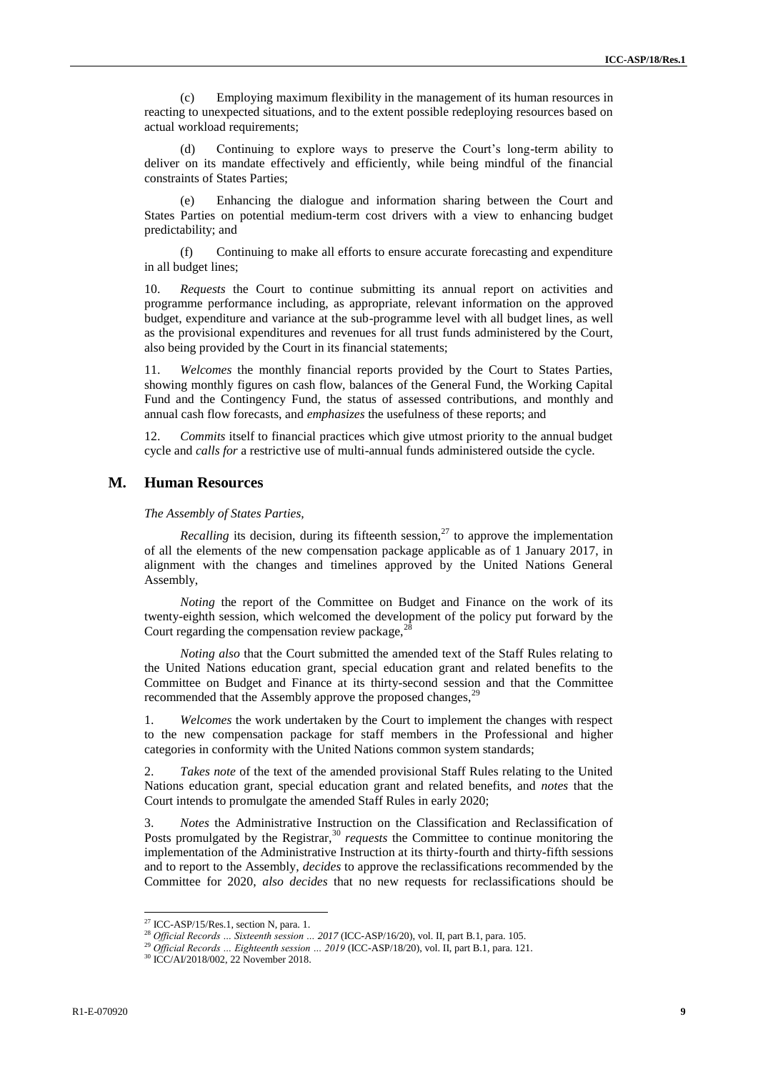(c) Employing maximum flexibility in the management of its human resources in reacting to unexpected situations, and to the extent possible redeploying resources based on actual workload requirements;

Continuing to explore ways to preserve the Court's long-term ability to deliver on its mandate effectively and efficiently, while being mindful of the financial constraints of States Parties;

(e) Enhancing the dialogue and information sharing between the Court and States Parties on potential medium-term cost drivers with a view to enhancing budget predictability; and

(f) Continuing to make all efforts to ensure accurate forecasting and expenditure in all budget lines;

10. *Requests* the Court to continue submitting its annual report on activities and programme performance including, as appropriate, relevant information on the approved budget, expenditure and variance at the sub-programme level with all budget lines, as well as the provisional expenditures and revenues for all trust funds administered by the Court, also being provided by the Court in its financial statements;

11. *Welcomes* the monthly financial reports provided by the Court to States Parties, showing monthly figures on cash flow, balances of the General Fund, the Working Capital Fund and the Contingency Fund, the status of assessed contributions, and monthly and annual cash flow forecasts, and *emphasizes* the usefulness of these reports; and

12. *Commits* itself to financial practices which give utmost priority to the annual budget cycle and *calls for* a restrictive use of multi-annual funds administered outside the cycle.

## **M. Human Resources**

*The Assembly of States Parties,*

*Recalling* its decision, during its fifteenth session,<sup>27</sup> to approve the implementation of all the elements of the new compensation package applicable as of 1 January 2017, in alignment with the changes and timelines approved by the United Nations General Assembly,

*Noting* the report of the Committee on Budget and Finance on the work of its twenty-eighth session, which welcomed the development of the policy put forward by the Court regarding the compensation review package,  $28$ 

*Noting also* that the Court submitted the amended text of the Staff Rules relating to the United Nations education grant, special education grant and related benefits to the Committee on Budget and Finance at its thirty-second session and that the Committee recommended that the Assembly approve the proposed changes,<sup>29</sup>

1. *Welcomes* the work undertaken by the Court to implement the changes with respect to the new compensation package for staff members in the Professional and higher categories in conformity with the United Nations common system standards;

2. *Takes note* of the text of the amended provisional Staff Rules relating to the United Nations education grant, special education grant and related benefits, and *notes* that the Court intends to promulgate the amended Staff Rules in early 2020;

3. *Notes* the Administrative Instruction on the Classification and Reclassification of Posts promulgated by the Registrar,<sup>30</sup> *requests* the Committee to continue monitoring the implementation of the Administrative Instruction at its thirty-fourth and thirty-fifth sessions and to report to the Assembly, *decides* to approve the reclassifications recommended by the Committee for 2020, *also decides* that no new requests for reclassifications should be

 $27$  ICC-ASP/15/Res.1, section N, para. 1.

<sup>&</sup>lt;sup>28</sup> Official Records ... Sixteenth session ... 2017 (ICC-ASP/16/20), vol. II, part B.1, para. 105.

<sup>29</sup> *Official Records … Eighteenth session … 2019* (ICC-ASP/18/20), vol. II, part B.1, para. 121.

<sup>30</sup> ICC/AI/2018/002, 22 November 2018.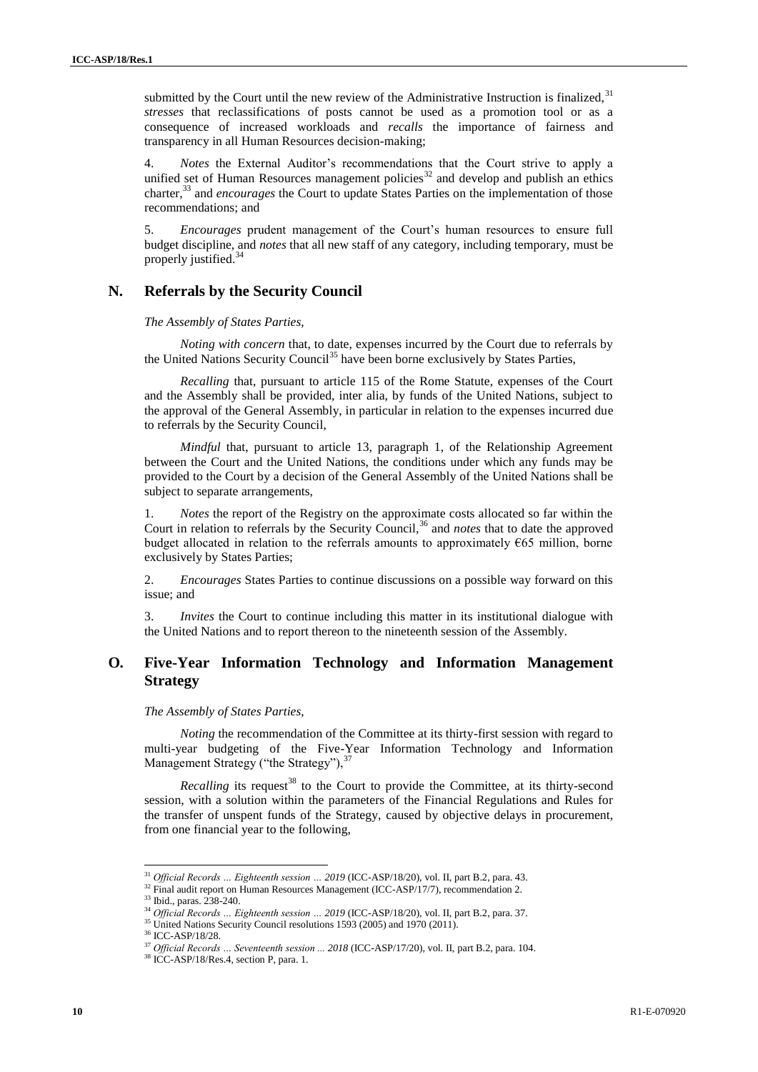submitted by the Court until the new review of the Administrative Instruction is finalized,  $31$ *stresses* that reclassifications of posts cannot be used as a promotion tool or as a consequence of increased workloads and *recalls* the importance of fairness and transparency in all Human Resources decision-making;

4. *Notes* the External Auditor's recommendations that the Court strive to apply a unified set of Human Resources management policies<sup>32</sup> and develop and publish an ethics charter,<sup>33</sup> and *encourages* the Court to update States Parties on the implementation of those recommendations; and

5. *Encourages* prudent management of the Court's human resources to ensure full budget discipline, and *notes* that all new staff of any category, including temporary, must be properly justified.<sup>34</sup>

## **N. Referrals by the Security Council**

*The Assembly of States Parties,*

*Noting with concern* that, to date, expenses incurred by the Court due to referrals by the United Nations Security Council<sup>35</sup> have been borne exclusively by States Parties,

*Recalling* that, pursuant to article 115 of the Rome Statute, expenses of the Court and the Assembly shall be provided, inter alia, by funds of the United Nations, subject to the approval of the General Assembly, in particular in relation to the expenses incurred due to referrals by the Security Council,

*Mindful* that, pursuant to article 13, paragraph 1, of the Relationship Agreement between the Court and the United Nations, the conditions under which any funds may be provided to the Court by a decision of the General Assembly of the United Nations shall be subject to separate arrangements,

1. *Notes* the report of the Registry on the approximate costs allocated so far within the Court in relation to referrals by the Security Council,<sup>36</sup> and *notes* that to date the approved budget allocated in relation to the referrals amounts to approximately  $665$  million, borne exclusively by States Parties;

2. *Encourages* States Parties to continue discussions on a possible way forward on this issue; and

3. *Invites* the Court to continue including this matter in its institutional dialogue with the United Nations and to report thereon to the nineteenth session of the Assembly.

## **O***.* **Five-Year Information Technology and Information Management Strategy**

#### *The Assembly of States Parties,*

*Noting* the recommendation of the Committee at its thirty-first session with regard to multi-year budgeting of the Five-Year Information Technology and Information Management Strategy ("the Strategy"), 37

*Recalling* its request<sup>38</sup> to the Court to provide the Committee, at its thirty-second session, with a solution within the parameters of the Financial Regulations and Rules for the transfer of unspent funds of the Strategy, caused by objective delays in procurement, from one financial year to the following,

 $\overline{a}$ 

<sup>&</sup>lt;sup>31</sup> *Official Records ... Eighteenth session ... 2019* (ICC-ASP/18/20), vol. II, part B.2, para. 43.

<sup>&</sup>lt;sup>32</sup> Final audit report on Human Resources Management (ICC-ASP/17/7), recommendation 2.

<sup>&</sup>lt;sup>33</sup> Ibid., paras. 238-240.

<sup>34</sup> *Official Records … Eighteenth session … 2019* (ICC-ASP/18/20), vol. II, part B.2, para. 37.

<sup>&</sup>lt;sup>35</sup> United Nations Security Council resolutions 1593 (2005) and 1970 (2011).

<sup>36</sup> ICC-ASP/18/28.

<sup>&</sup>lt;sup>37</sup> Official Records ... Seventeenth session ... 2018 (ICC-ASP/17/20), vol. II, part B.2, para. 104.

<sup>38</sup> ICC-ASP/18/Res.4, section P, para. 1.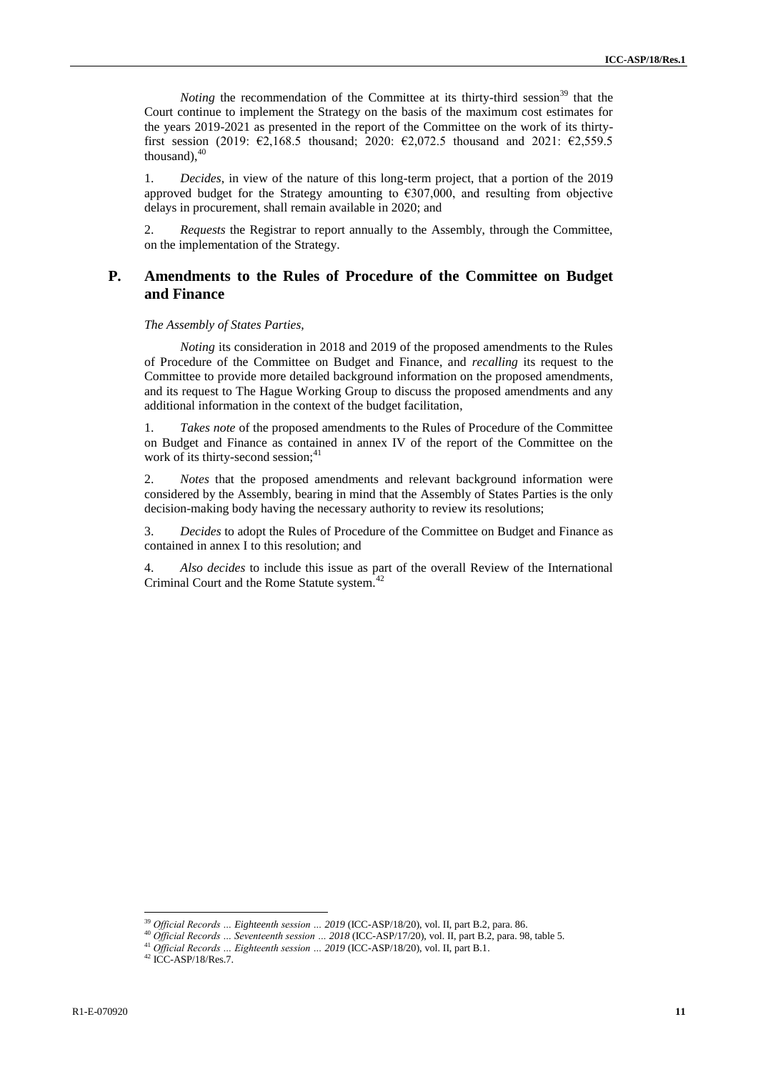*Noting* the recommendation of the Committee at its thirty-third session<sup>39</sup> that the Court continue to implement the Strategy on the basis of the maximum cost estimates for the years 2019-2021 as presented in the report of the Committee on the work of its thirtyfirst session (2019:  $\epsilon$ 2,168.5 thousand; 2020:  $\epsilon$ 2,072.5 thousand and 2021:  $\epsilon$ 2,559.5 thousand), $40$ 

1. *Decides*, in view of the nature of this long-term project, that a portion of the 2019 approved budget for the Strategy amounting to  $\epsilon$ 307,000, and resulting from objective delays in procurement, shall remain available in 2020; and

2. *Requests* the Registrar to report annually to the Assembly, through the Committee, on the implementation of the Strategy.

## **P. Amendments to the Rules of Procedure of the Committee on Budget and Finance**

#### *The Assembly of States Parties,*

*Noting* its consideration in 2018 and 2019 of the proposed amendments to the Rules of Procedure of the Committee on Budget and Finance, and *recalling* its request to the Committee to provide more detailed background information on the proposed amendments, and its request to The Hague Working Group to discuss the proposed amendments and any additional information in the context of the budget facilitation,

1. *Takes note* of the proposed amendments to the Rules of Procedure of the Committee on Budget and Finance as contained in annex IV of the report of the Committee on the work of its thirty-second session;<sup>41</sup>

2. *Notes* that the proposed amendments and relevant background information were considered by the Assembly, bearing in mind that the Assembly of States Parties is the only decision-making body having the necessary authority to review its resolutions;

3. *Decides* to adopt the Rules of Procedure of the Committee on Budget and Finance as contained in annex I to this resolution; and

4. *Also decides* to include this issue as part of the overall Review of the International Criminal Court and the Rome Statute system.<sup>42</sup>

<sup>&</sup>lt;sup>39</sup> Official Records ... Eighteenth session ... 2019 (ICC-ASP/18/20), vol. II, part B.2, para. 86.

<sup>40</sup> *Official Records … Seventeenth session … 2018* (ICC-ASP/17/20), vol. II, part B.2, para. 98, table 5.

<sup>41</sup> *Official Records … Eighteenth session … 2019* (ICC-ASP/18/20), vol. II, part B.1.

<sup>42</sup> ICC-ASP/18/Res.7.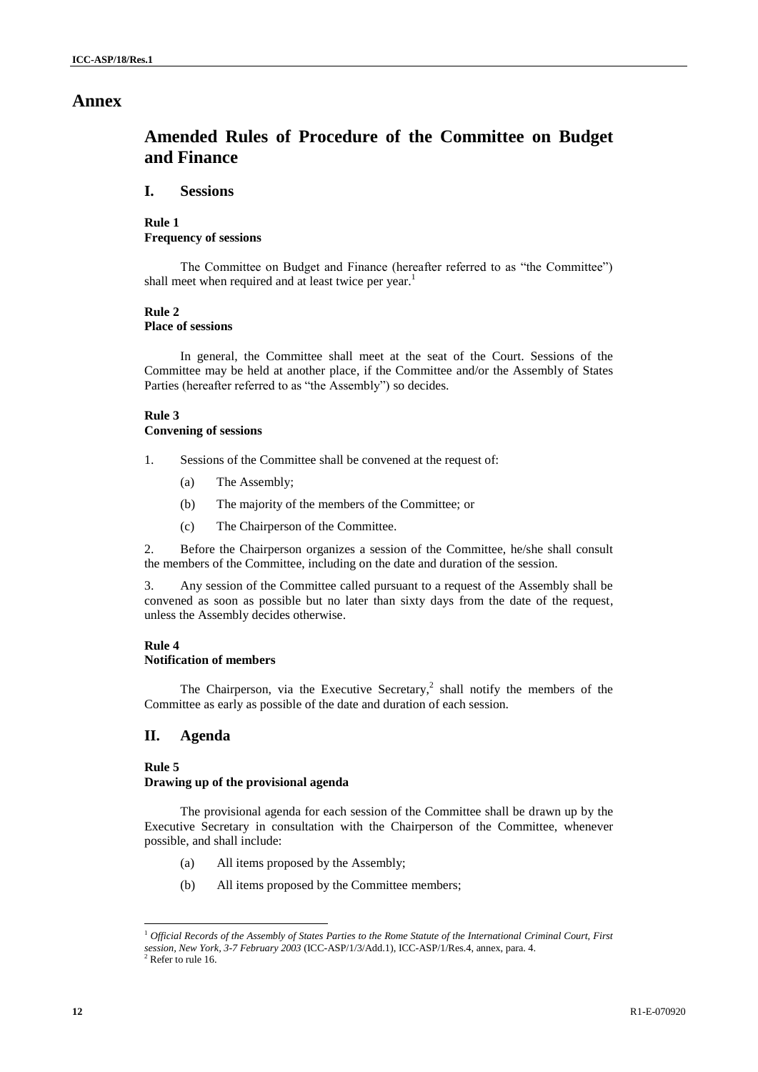## **Annex**

# **Amended Rules of Procedure of the Committee on Budget and Finance**

## **I. Sessions**

**Rule 1 Frequency of sessions**

The Committee on Budget and Finance (hereafter referred to as "the Committee") shall meet when required and at least twice per year.<sup>1</sup>

## **Rule 2**

**Place of sessions**

In general, the Committee shall meet at the seat of the Court. Sessions of the Committee may be held at another place, if the Committee and/or the Assembly of States Parties (hereafter referred to as "the Assembly") so decides.

### **Rule 3 Convening of sessions**

- 1. Sessions of the Committee shall be convened at the request of:
	- (a) The Assembly;
	- (b) The majority of the members of the Committee; or
	- (c) The Chairperson of the Committee.

2. Before the Chairperson organizes a session of the Committee, he/she shall consult the members of the Committee, including on the date and duration of the session.

3. Any session of the Committee called pursuant to a request of the Assembly shall be convened as soon as possible but no later than sixty days from the date of the request, unless the Assembly decides otherwise.

#### **Rule 4 Notification of members**

The Chairperson, via the Executive Secretary,<sup>2</sup> shall notify the members of the Committee as early as possible of the date and duration of each session.

## **II. Agenda**

## **Rule 5**

l

### **Drawing up of the provisional agenda**

The provisional agenda for each session of the Committee shall be drawn up by the Executive Secretary in consultation with the Chairperson of the Committee, whenever possible, and shall include:

- (a) All items proposed by the Assembly;
- (b) All items proposed by the Committee members;

<sup>&</sup>lt;sup>1</sup> Official Records of the Assembly of States Parties to the Rome Statute of the International Criminal Court, First *session, New York, 3-7 February 2003* (ICC-ASP/1/3/Add.1), ICC-ASP/1/Res.4, annex, para. 4.  $2$  Refer to rule 16.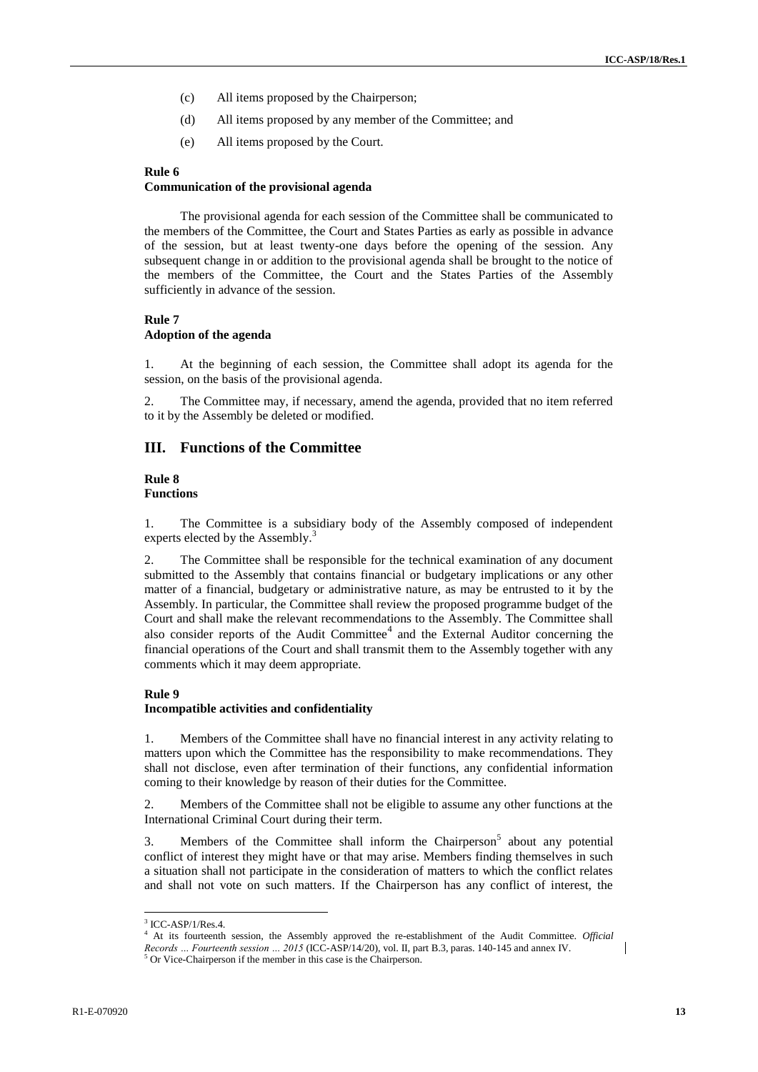- (c) All items proposed by the Chairperson;
- (d) All items proposed by any member of the Committee; and
- (e) All items proposed by the Court.

#### **Rule 6**

### **Communication of the provisional agenda**

The provisional agenda for each session of the Committee shall be communicated to the members of the Committee, the Court and States Parties as early as possible in advance of the session, but at least twenty-one days before the opening of the session. Any subsequent change in or addition to the provisional agenda shall be brought to the notice of the members of the Committee, the Court and the States Parties of the Assembly sufficiently in advance of the session.

#### **Rule 7**

#### **Adoption of the agenda**

1. At the beginning of each session, the Committee shall adopt its agenda for the session, on the basis of the provisional agenda.

2. The Committee may, if necessary, amend the agenda, provided that no item referred to it by the Assembly be deleted or modified.

## **III. Functions of the Committee**

#### **Rule 8 Functions**

1. The Committee is a subsidiary body of the Assembly composed of independent experts elected by the Assembly.<sup>3</sup>

2. The Committee shall be responsible for the technical examination of any document submitted to the Assembly that contains financial or budgetary implications or any other matter of a financial, budgetary or administrative nature, as may be entrusted to it by the Assembly. In particular, the Committee shall review the proposed programme budget of the Court and shall make the relevant recommendations to the Assembly. The Committee shall also consider reports of the Audit Committee<sup>4</sup> and the External Auditor concerning the financial operations of the Court and shall transmit them to the Assembly together with any comments which it may deem appropriate.

#### **Rule 9**

#### **Incompatible activities and confidentiality**

1. Members of the Committee shall have no financial interest in any activity relating to matters upon which the Committee has the responsibility to make recommendations. They shall not disclose, even after termination of their functions, any confidential information coming to their knowledge by reason of their duties for the Committee.

2. Members of the Committee shall not be eligible to assume any other functions at the International Criminal Court during their term.

3. Members of the Committee shall inform the Chairperson<sup>5</sup> about any potential conflict of interest they might have or that may arise. Members finding themselves in such a situation shall not participate in the consideration of matters to which the conflict relates and shall not vote on such matters. If the Chairperson has any conflict of interest, the

 3 ICC-ASP/1/Res.4.

<sup>4</sup> At its fourteenth session, the Assembly approved the re-establishment of the Audit Committee. *Official Records … Fourteenth session … 2015* (ICC-ASP/14/20), vol. II, part B.3, paras. 140-145 and annex IV. <sup>5</sup> Or Vice-Chairperson if the member in this case is the Chairperson.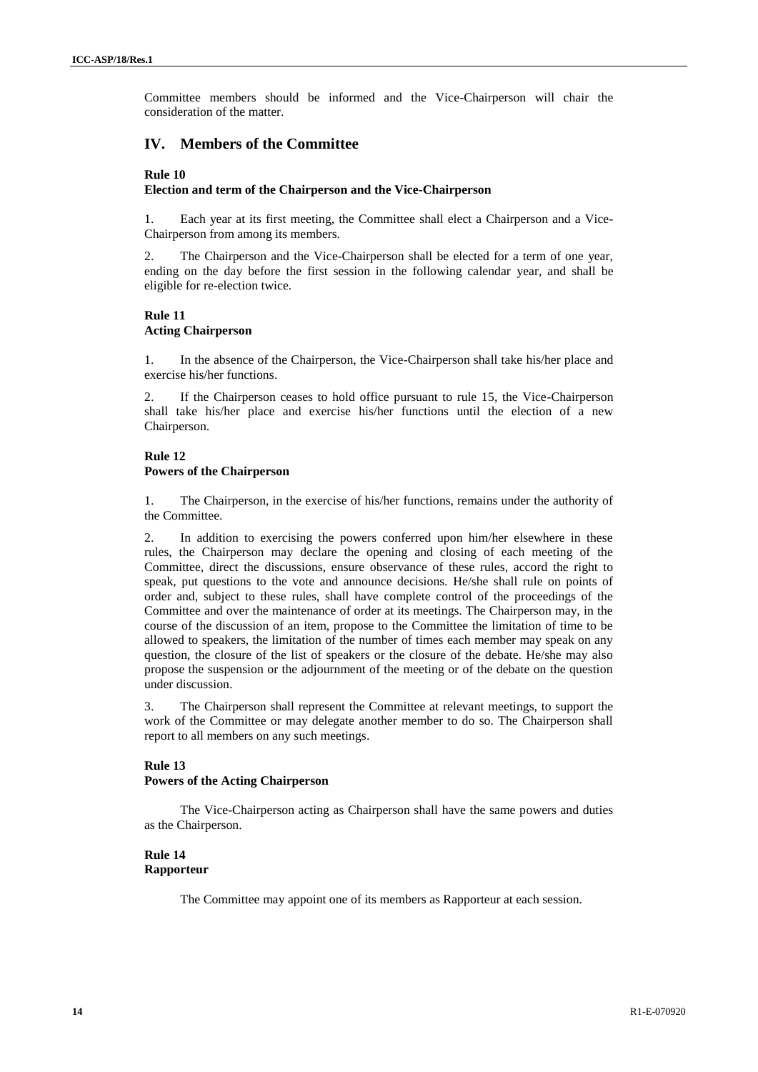Committee members should be informed and the Vice-Chairperson will chair the consideration of the matter.

## **IV. Members of the Committee**

#### **Rule 10**

### **Election and term of the Chairperson and the Vice-Chairperson**

1. Each year at its first meeting, the Committee shall elect a Chairperson and a Vice-Chairperson from among its members.

2. The Chairperson and the Vice-Chairperson shall be elected for a term of one year, ending on the day before the first session in the following calendar year, and shall be eligible for re-election twice.

## **Rule 11 Acting Chairperson**

1. In the absence of the Chairperson, the Vice-Chairperson shall take his/her place and exercise his/her functions.

2. If the Chairperson ceases to hold office pursuant to rule 15, the Vice-Chairperson shall take his/her place and exercise his/her functions until the election of a new Chairperson.

## **Rule 12 Powers of the Chairperson**

1. The Chairperson, in the exercise of his/her functions, remains under the authority of the Committee.

2. In addition to exercising the powers conferred upon him/her elsewhere in these rules, the Chairperson may declare the opening and closing of each meeting of the Committee, direct the discussions, ensure observance of these rules, accord the right to speak, put questions to the vote and announce decisions. He/she shall rule on points of order and, subject to these rules, shall have complete control of the proceedings of the Committee and over the maintenance of order at its meetings. The Chairperson may, in the course of the discussion of an item, propose to the Committee the limitation of time to be allowed to speakers, the limitation of the number of times each member may speak on any question, the closure of the list of speakers or the closure of the debate. He/she may also propose the suspension or the adjournment of the meeting or of the debate on the question under discussion.

3. The Chairperson shall represent the Committee at relevant meetings, to support the work of the Committee or may delegate another member to do so. The Chairperson shall report to all members on any such meetings.

### **Rule 13 Powers of the Acting Chairperson**

The Vice-Chairperson acting as Chairperson shall have the same powers and duties as the Chairperson.

## **Rule 14 Rapporteur**

The Committee may appoint one of its members as Rapporteur at each session.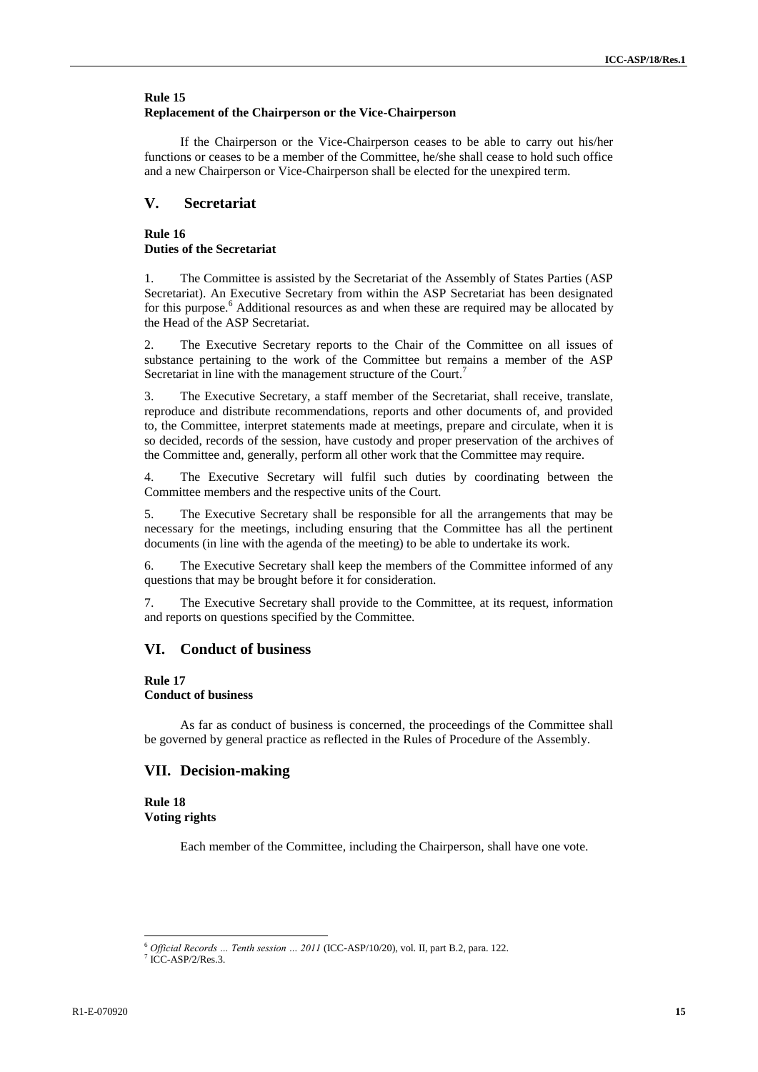### **Rule 15 Replacement of the Chairperson or the Vice-Chairperson**

If the Chairperson or the Vice-Chairperson ceases to be able to carry out his/her functions or ceases to be a member of the Committee, he/she shall cease to hold such office and a new Chairperson or Vice-Chairperson shall be elected for the unexpired term.

## **V. Secretariat**

### **Rule 16 Duties of the Secretariat**

1. The Committee is assisted by the Secretariat of the Assembly of States Parties (ASP Secretariat). An Executive Secretary from within the ASP Secretariat has been designated for this purpose.<sup>6</sup> Additional resources as and when these are required may be allocated by the Head of the ASP Secretariat.

2. The Executive Secretary reports to the Chair of the Committee on all issues of substance pertaining to the work of the Committee but remains a member of the ASP Secretariat in line with the management structure of the Court.<sup>7</sup>

3. The Executive Secretary, a staff member of the Secretariat, shall receive, translate, reproduce and distribute recommendations, reports and other documents of, and provided to, the Committee, interpret statements made at meetings, prepare and circulate, when it is so decided, records of the session, have custody and proper preservation of the archives of the Committee and, generally, perform all other work that the Committee may require.

4. The Executive Secretary will fulfil such duties by coordinating between the Committee members and the respective units of the Court.

5. The Executive Secretary shall be responsible for all the arrangements that may be necessary for the meetings, including ensuring that the Committee has all the pertinent documents (in line with the agenda of the meeting) to be able to undertake its work.

6. The Executive Secretary shall keep the members of the Committee informed of any questions that may be brought before it for consideration.

7. The Executive Secretary shall provide to the Committee, at its request, information and reports on questions specified by the Committee.

## **VI. Conduct of business**

#### **Rule 17**

### **Conduct of business**

As far as conduct of business is concerned, the proceedings of the Committee shall be governed by general practice as reflected in the Rules of Procedure of the Assembly.

### **VII. Decision-making**

**Rule 18 Voting rights**

Each member of the Committee, including the Chairperson, shall have one vote.

 $\overline{a}$ 

<sup>6</sup> *Official Records … Tenth session … 2011* (ICC-ASP/10/20), vol. II, part B.2, para. 122.

<sup>7</sup> ICC-ASP/2/Res.3.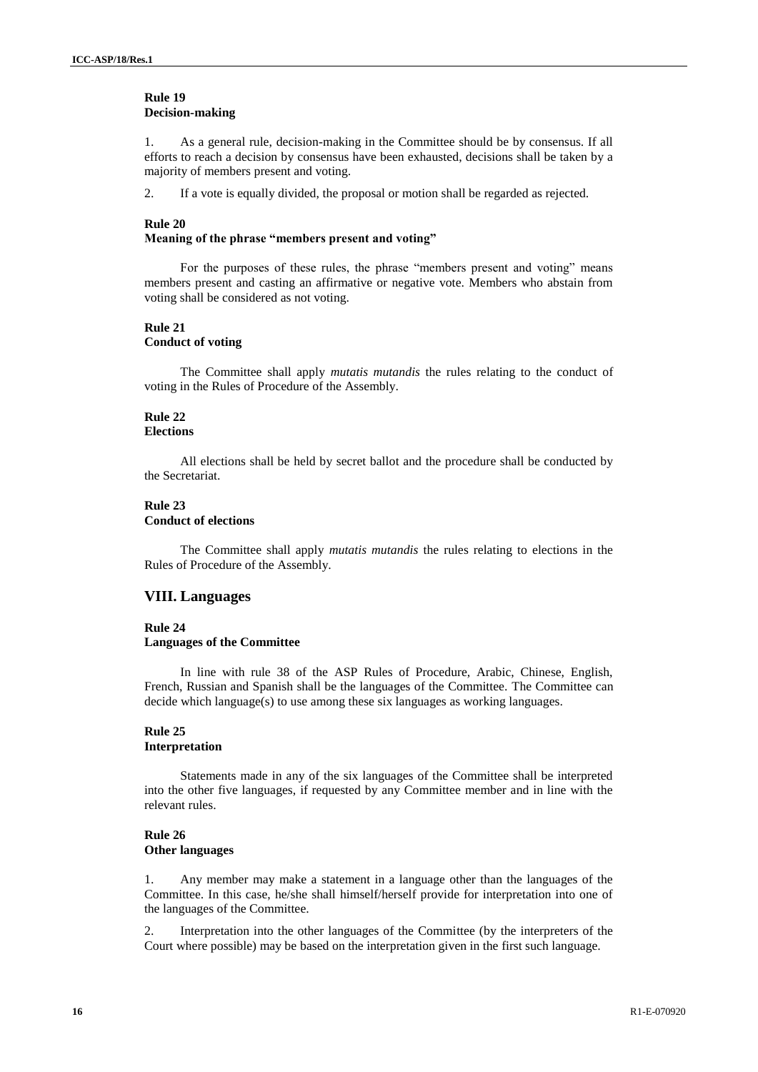#### **Rule 19 Decision-making**

1. As a general rule, decision-making in the Committee should be by consensus. If all efforts to reach a decision by consensus have been exhausted, decisions shall be taken by a majority of members present and voting.

2. If a vote is equally divided, the proposal or motion shall be regarded as rejected.

#### **Rule 20**

#### **Meaning of the phrase "members present and voting"**

For the purposes of these rules, the phrase "members present and voting" means members present and casting an affirmative or negative vote. Members who abstain from voting shall be considered as not voting.

#### **Rule 21 Conduct of voting**

The Committee shall apply *mutatis mutandis* the rules relating to the conduct of voting in the Rules of Procedure of the Assembly.

# **Rule 22**

## **Elections**

All elections shall be held by secret ballot and the procedure shall be conducted by the Secretariat.

## **Rule 23**

#### **Conduct of elections**

The Committee shall apply *mutatis mutandis* the rules relating to elections in the Rules of Procedure of the Assembly.

### **VIII. Languages**

#### **Rule 24**

#### **Languages of the Committee**

In line with rule 38 of the ASP Rules of Procedure, Arabic, Chinese, English, French, Russian and Spanish shall be the languages of the Committee. The Committee can decide which language(s) to use among these six languages as working languages.

#### **Rule 25 Interpretation**

Statements made in any of the six languages of the Committee shall be interpreted into the other five languages, if requested by any Committee member and in line with the relevant rules.

### **Rule 26 Other languages**

1. Any member may make a statement in a language other than the languages of the Committee. In this case, he/she shall himself/herself provide for interpretation into one of the languages of the Committee.

2. Interpretation into the other languages of the Committee (by the interpreters of the Court where possible) may be based on the interpretation given in the first such language.